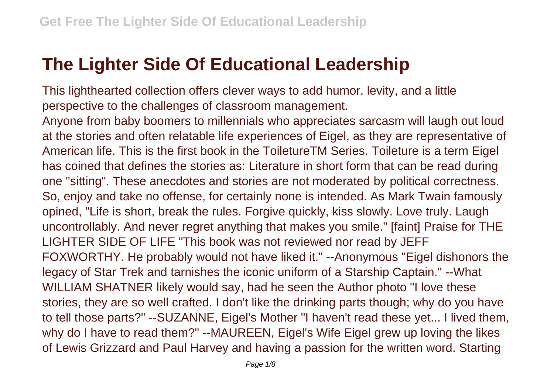## **The Lighter Side Of Educational Leadership**

This lighthearted collection offers clever ways to add humor, levity, and a little perspective to the challenges of classroom management.

Anyone from baby boomers to millennials who appreciates sarcasm will laugh out loud at the stories and often relatable life experiences of Eigel, as they are representative of American life. This is the first book in the ToiletureTM Series. Toileture is a term Eigel has coined that defines the stories as: Literature in short form that can be read during one "sitting". These anecdotes and stories are not moderated by political correctness. So, enjoy and take no offense, for certainly none is intended. As Mark Twain famously opined, "Life is short, break the rules. Forgive quickly, kiss slowly. Love truly. Laugh uncontrollably. And never regret anything that makes you smile." [faint] Praise for THE LIGHTER SIDE OF LIFE "This book was not reviewed nor read by JEFF FOXWORTHY. He probably would not have liked it." --Anonymous "Eigel dishonors the legacy of Star Trek and tarnishes the iconic uniform of a Starship Captain." --What WILLIAM SHATNER likely would say, had he seen the Author photo "I love these stories, they are so well crafted. I don't like the drinking parts though; why do you have to tell those parts?" --SUZANNE, Eigel's Mother "I haven't read these yet... I lived them, why do I have to read them?" --MAUREEN, Eigel's Wife Eigel grew up loving the likes of Lewis Grizzard and Paul Harvey and having a passion for the written word. Starting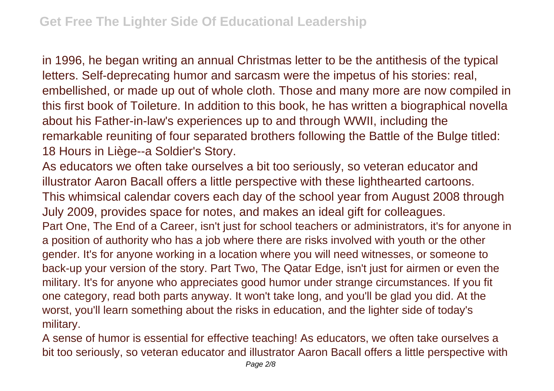in 1996, he began writing an annual Christmas letter to be the antithesis of the typical letters. Self-deprecating humor and sarcasm were the impetus of his stories: real, embellished, or made up out of whole cloth. Those and many more are now compiled in this first book of Toileture. In addition to this book, he has written a biographical novella about his Father-in-law's experiences up to and through WWII, including the remarkable reuniting of four separated brothers following the Battle of the Bulge titled: 18 Hours in Liège--a Soldier's Story.

As educators we often take ourselves a bit too seriously, so veteran educator and illustrator Aaron Bacall offers a little perspective with these lighthearted cartoons. This whimsical calendar covers each day of the school year from August 2008 through July 2009, provides space for notes, and makes an ideal gift for colleagues. Part One, The End of a Career, isn't just for school teachers or administrators, it's for anyone in a position of authority who has a job where there are risks involved with youth or the other gender. It's for anyone working in a location where you will need witnesses, or someone to back-up your version of the story. Part Two, The Qatar Edge, isn't just for airmen or even the military. It's for anyone who appreciates good humor under strange circumstances. If you fit one category, read both parts anyway. It won't take long, and you'll be glad you did. At the worst, you'll learn something about the risks in education, and the lighter side of today's military.

A sense of humor is essential for effective teaching! As educators, we often take ourselves a bit too seriously, so veteran educator and illustrator Aaron Bacall offers a little perspective with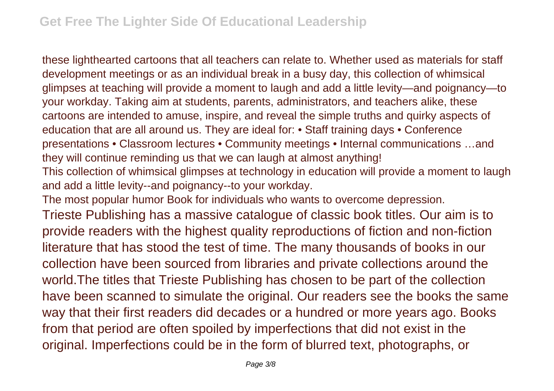these lighthearted cartoons that all teachers can relate to. Whether used as materials for staff development meetings or as an individual break in a busy day, this collection of whimsical glimpses at teaching will provide a moment to laugh and add a little levity—and poignancy—to your workday. Taking aim at students, parents, administrators, and teachers alike, these cartoons are intended to amuse, inspire, and reveal the simple truths and quirky aspects of education that are all around us. They are ideal for: • Staff training days • Conference presentations • Classroom lectures • Community meetings • Internal communications …and they will continue reminding us that we can laugh at almost anything!

This collection of whimsical glimpses at technology in education will provide a moment to laugh and add a little levity--and poignancy--to your workday.

The most popular humor Book for individuals who wants to overcome depression.

Trieste Publishing has a massive catalogue of classic book titles. Our aim is to provide readers with the highest quality reproductions of fiction and non-fiction literature that has stood the test of time. The many thousands of books in our collection have been sourced from libraries and private collections around the world.The titles that Trieste Publishing has chosen to be part of the collection have been scanned to simulate the original. Our readers see the books the same way that their first readers did decades or a hundred or more years ago. Books from that period are often spoiled by imperfections that did not exist in the original. Imperfections could be in the form of blurred text, photographs, or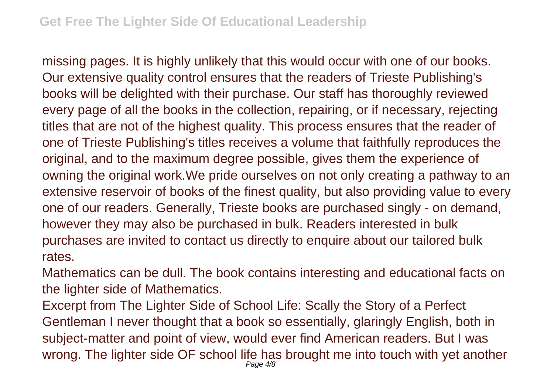missing pages. It is highly unlikely that this would occur with one of our books. Our extensive quality control ensures that the readers of Trieste Publishing's books will be delighted with their purchase. Our staff has thoroughly reviewed every page of all the books in the collection, repairing, or if necessary, rejecting titles that are not of the highest quality. This process ensures that the reader of one of Trieste Publishing's titles receives a volume that faithfully reproduces the original, and to the maximum degree possible, gives them the experience of owning the original work.We pride ourselves on not only creating a pathway to an extensive reservoir of books of the finest quality, but also providing value to every one of our readers. Generally, Trieste books are purchased singly - on demand, however they may also be purchased in bulk. Readers interested in bulk purchases are invited to contact us directly to enquire about our tailored bulk rates.

Mathematics can be dull. The book contains interesting and educational facts on the lighter side of Mathematics.

Excerpt from The Lighter Side of School Life: Scally the Story of a Perfect Gentleman I never thought that a book so essentially, glaringly English, both in subject-matter and point of view, would ever find American readers. But I was wrong. The lighter side OF school life has brought me into touch with yet another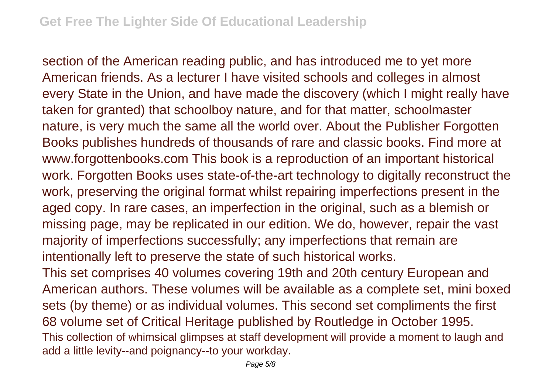section of the American reading public, and has introduced me to yet more American friends. As a lecturer I have visited schools and colleges in almost every State in the Union, and have made the discovery (which I might really have taken for granted) that schoolboy nature, and for that matter, schoolmaster nature, is very much the same all the world over. About the Publisher Forgotten Books publishes hundreds of thousands of rare and classic books. Find more at www.forgottenbooks.com This book is a reproduction of an important historical work. Forgotten Books uses state-of-the-art technology to digitally reconstruct the work, preserving the original format whilst repairing imperfections present in the aged copy. In rare cases, an imperfection in the original, such as a blemish or missing page, may be replicated in our edition. We do, however, repair the vast majority of imperfections successfully; any imperfections that remain are intentionally left to preserve the state of such historical works.

This set comprises 40 volumes covering 19th and 20th century European and American authors. These volumes will be available as a complete set, mini boxed sets (by theme) or as individual volumes. This second set compliments the first 68 volume set of Critical Heritage published by Routledge in October 1995. This collection of whimsical glimpses at staff development will provide a moment to laugh and add a little levity--and poignancy--to your workday.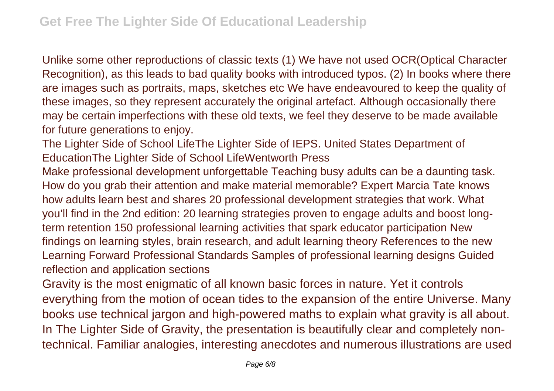Unlike some other reproductions of classic texts (1) We have not used OCR(Optical Character Recognition), as this leads to bad quality books with introduced typos. (2) In books where there are images such as portraits, maps, sketches etc We have endeavoured to keep the quality of these images, so they represent accurately the original artefact. Although occasionally there may be certain imperfections with these old texts, we feel they deserve to be made available for future generations to enjoy.

The Lighter Side of School LifeThe Lighter Side of IEPS. United States Department of EducationThe Lighter Side of School LifeWentworth Press

Make professional development unforgettable Teaching busy adults can be a daunting task. How do you grab their attention and make material memorable? Expert Marcia Tate knows how adults learn best and shares 20 professional development strategies that work. What you'll find in the 2nd edition: 20 learning strategies proven to engage adults and boost longterm retention 150 professional learning activities that spark educator participation New findings on learning styles, brain research, and adult learning theory References to the new Learning Forward Professional Standards Samples of professional learning designs Guided reflection and application sections

Gravity is the most enigmatic of all known basic forces in nature. Yet it controls everything from the motion of ocean tides to the expansion of the entire Universe. Many books use technical jargon and high-powered maths to explain what gravity is all about. In The Lighter Side of Gravity, the presentation is beautifully clear and completely nontechnical. Familiar analogies, interesting anecdotes and numerous illustrations are used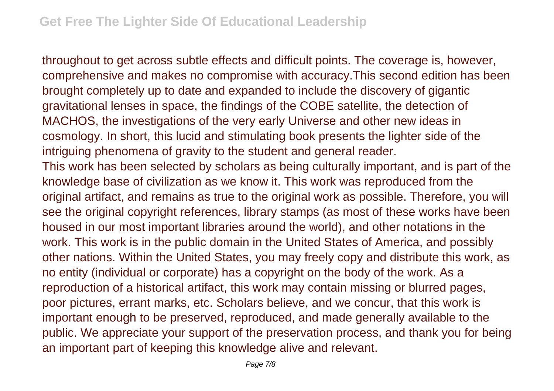throughout to get across subtle effects and difficult points. The coverage is, however, comprehensive and makes no compromise with accuracy.This second edition has been brought completely up to date and expanded to include the discovery of gigantic gravitational lenses in space, the findings of the COBE satellite, the detection of MACHOS, the investigations of the very early Universe and other new ideas in cosmology. In short, this lucid and stimulating book presents the lighter side of the intriguing phenomena of gravity to the student and general reader. This work has been selected by scholars as being culturally important, and is part of the knowledge base of civilization as we know it. This work was reproduced from the original artifact, and remains as true to the original work as possible. Therefore, you will see the original copyright references, library stamps (as most of these works have been housed in our most important libraries around the world), and other notations in the work. This work is in the public domain in the United States of America, and possibly other nations. Within the United States, you may freely copy and distribute this work, as no entity (individual or corporate) has a copyright on the body of the work. As a reproduction of a historical artifact, this work may contain missing or blurred pages, poor pictures, errant marks, etc. Scholars believe, and we concur, that this work is important enough to be preserved, reproduced, and made generally available to the public. We appreciate your support of the preservation process, and thank you for being an important part of keeping this knowledge alive and relevant.